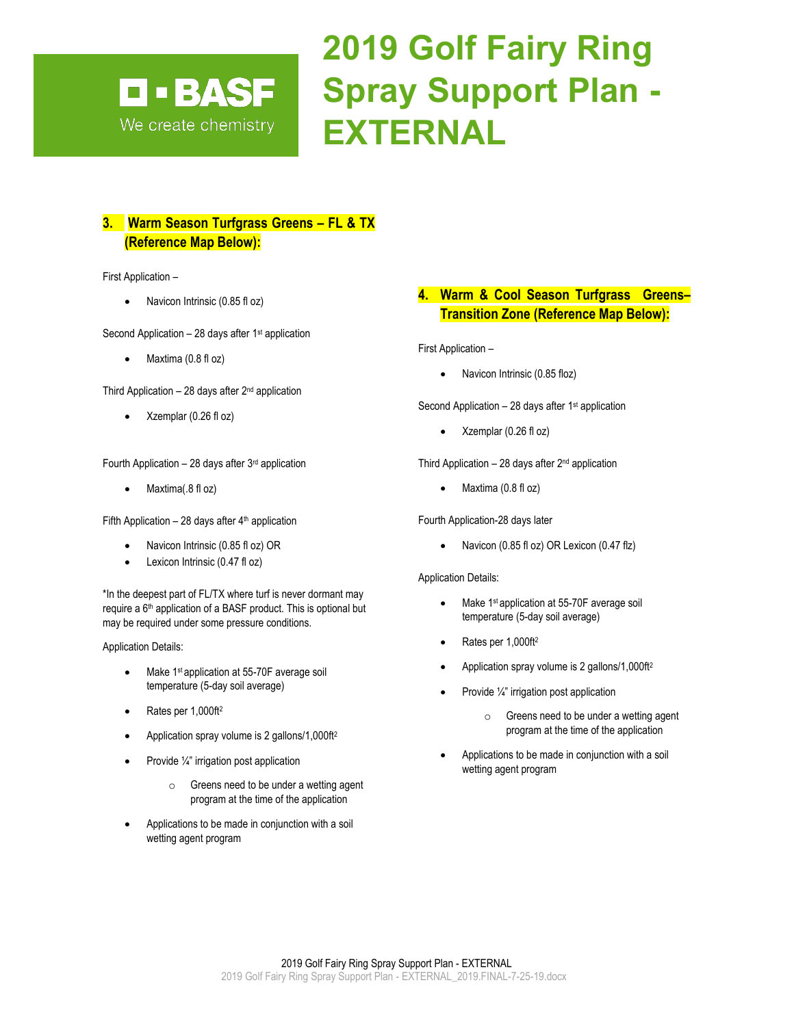## **2019 Golf Fairy Ring Spray Support Plan - EXTERNAL**

#### **3. Warm Season Turfgrass Greens – FL & TX (Reference Map Below):**

First Application –

• Navicon Intrinsic (0.85 fl oz)

**D · BASF** 

We create chemistry

Second Application  $-28$  days after 1<sup>st</sup> application

• Maxtima (0.8 fl oz)

Third Application  $-28$  days after  $2^{nd}$  application

• Xzemplar (0.26 fl oz)

Fourth Application – 28 days after  $3<sup>rd</sup>$  application

• Maxtima(.8 fl oz)

Fifth Application – 28 days after  $4<sup>th</sup>$  application

- Navicon Intrinsic (0.85 fl oz) OR
- Lexicon Intrinsic (0.47 fl oz)

\*In the deepest part of FL/TX where turf is never dormant may require a 6<sup>th</sup> application of a BASF product. This is optional but may be required under some pressure conditions.

Application Details:

- Make 1<sup>st</sup> application at 55-70F average soil temperature (5-day soil average)
- Rates per 1,000ft<sup>2</sup>
- Application spray volume is 2 gallons/1,000ft<sup>2</sup>
- Provide 1/4" irrigation post application
	- o Greens need to be under a wetting agent program at the time of the application
- Applications to be made in conjunction with a soil wetting agent program

#### **4. Warm & Cool Season Turfgrass Greens– Transition Zone (Reference Map Below):**

First Application –

Navicon Intrinsic (0.85 floz)

Second Application  $-28$  days after 1<sup>st</sup> application

• Xzemplar (0.26 fl oz)

Third Application  $-28$  days after  $2<sup>nd</sup>$  application

• Maxtima (0.8 fl oz)

Fourth Application-28 days later

• Navicon (0.85 fl oz) OR Lexicon (0.47 flz)

Application Details:

- Make 1<sup>st</sup> application at 55-70F average soil temperature (5-day soil average)
- Rates per 1,000ft<sup>2</sup>
- Application spray volume is 2 gallons/1,000ft2
- Provide ¼" irrigation post application
	- o Greens need to be under a wetting agent program at the time of the application
- Applications to be made in conjunction with a soil wetting agent program